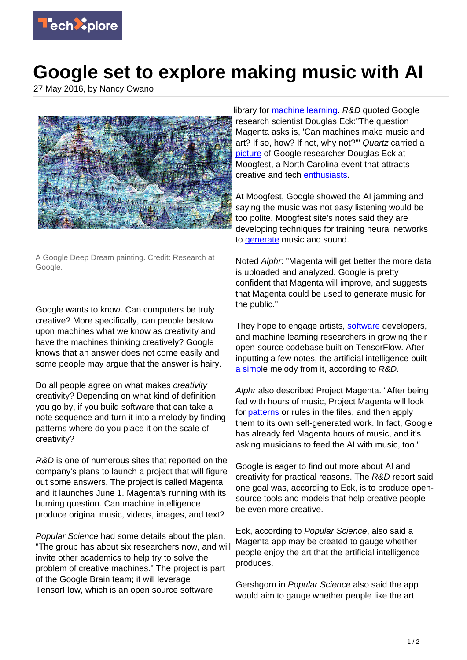

## **Google set to explore making music with AI**

27 May 2016, by Nancy Owano



A Google Deep Dream painting. Credit: Research at Google.

Google wants to know. Can computers be truly creative? More specifically, can people bestow upon machines what we know as creativity and have the machines thinking creatively? Google knows that an answer does not come easily and some people may argue that the answer is hairy.

Do all people agree on what makes *creativity* creativity? Depending on what kind of definition you go by, if you build software that can take a note sequence and turn it into a melody by finding patterns where do you place it on the scale of creativity?

R&D is one of numerous sites that reported on the company's plans to launch a project that will figure out some answers. The project is called Magenta and it launches June 1. Magenta's running with its burning question. Can machine intelligence produce original music, videos, images, and text?

Popular Science had some details about the plan. "The group has about six researchers now, and will invite other academics to help try to solve the problem of creative machines." The project is part of the Google Brain team; it will leverage TensorFlow, which is an open source software

library for [machine learning](https://techxplore.com/tags/machine+learning/). R&D quoted Google research scientist Douglas Eck:"The question Magenta asks is, 'Can machines make music and art? If so, how? If not, why not?'" Quartz carried a [picture](http://qz.com/689887/google-is-launching-a-new-research-project-to-see-if-computers-can-be-truly-creative/) of Google researcher Douglas Eck at Moogfest, a North Carolina event that attracts creative and tech [enthusiasts.](http://www.moogfest.com/about)

At Moogfest, Google showed the AI jamming and saying the music was not easy listening would be too polite. Moogfest site's notes said they are developing techniques for training neural networks to [generate](http://sched.moogfest.com/event/6mFq/google-brain-magenta) music and sound.

Noted Alphr: "Magenta will get better the more data is uploaded and analyzed. Google is pretty confident that Magenta will improve, and suggests that Magenta could be used to generate music for the public."

They hope to engage artists, [software](https://techxplore.com/tags/software/) developers, and machine learning researchers in growing their open-source codebase built on TensorFlow. After inputting a few notes, the artificial intelligence built [a simpl](http://www.rdmag.com/articles/2016/05/google-hopes-unlock-artist-within-ai)e melody from it, according to R&D.

Alphr also described Project Magenta. "After being fed with hours of music, Project Magenta will look fo[r patterns](http://www.alphr.com/google/1003531/google-s-project-magenta-is-teaching-robots-to-make-music) or rules in the files, and then apply them to its own self-generated work. In fact, Google has already fed Magenta hours of music, and it's asking musicians to feed the AI with music, too."

Google is eager to find out more about AI and creativity for practical reasons. The R&D report said one goal was, according to Eck, is to produce opensource tools and models that help creative people be even more creative.

Eck, according to Popular Science, also said a Magenta app may be created to gauge whether people enjoy the art that the artificial intelligence produces.

Gershgorn in Popular Science also said the app would aim to gauge whether people like the art